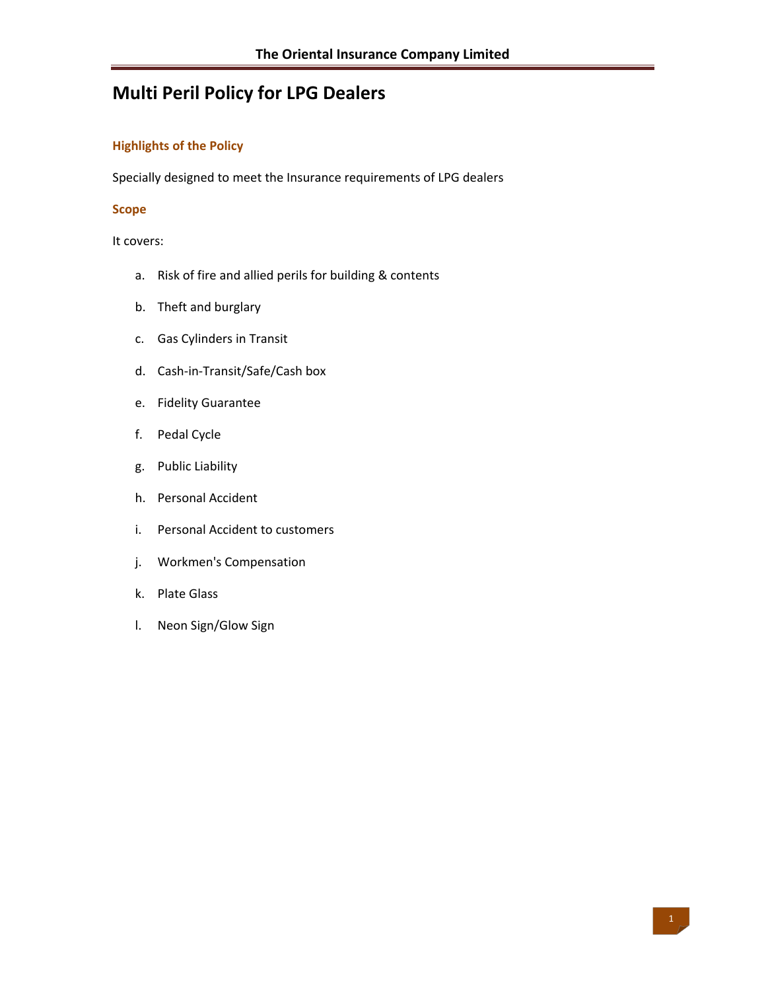# **Multi Peril Policy for LPG Dealers**

## **Highlights of the Policy**

Specially designed to meet the Insurance requirements of LPG dealers

#### **Scope**

It covers:

- a. Risk of fire and allied perils for building & contents
- b. Theft and burglary
- c. Gas Cylinders in Transit
- d. Cash‐in‐Transit/Safe/Cash box
- e. Fidelity Guarantee
- f. Pedal Cycle
- g. Public Liability
- h. Personal Accident
- i. Personal Accident to customers
- j. Workmen's Compensation
- k. Plate Glass
- l. Neon Sign/Glow Sign